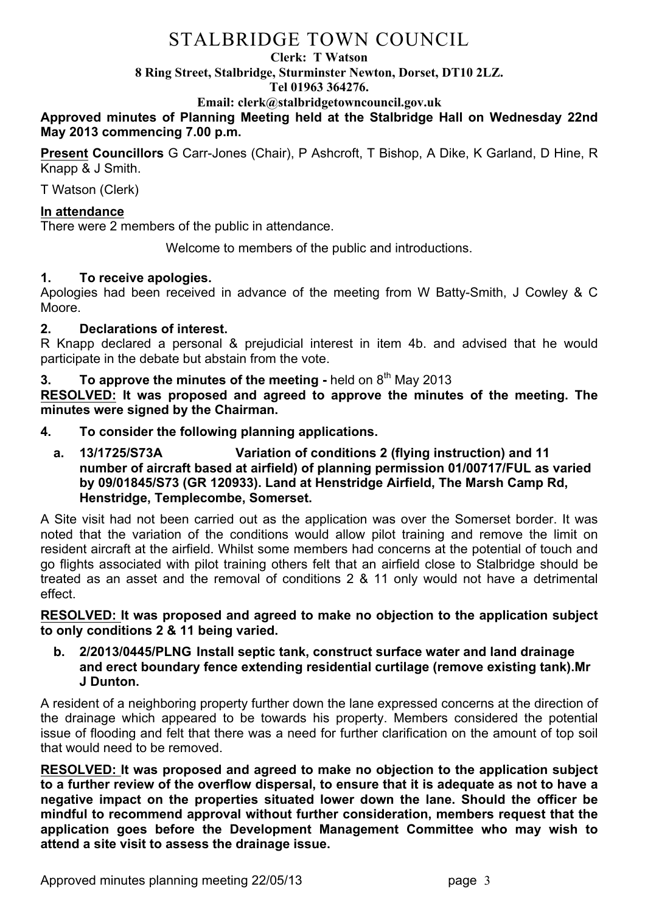# STALBRIDGE TOWN COUNCIL

#### **Clerk: T Watson**

**8 Ring Street, Stalbridge, Sturminster Newton, Dorset, DT10 2LZ.**

#### **Tel 01963 364276.**

**Email: clerk@stalbridgetowncouncil.gov.uk**

## **Approved minutes of Planning Meeting held at the Stalbridge Hall on Wednesday 22nd May 2013 commencing 7.00 p.m.**

**Present Councillors** G Carr-Jones (Chair), P Ashcroft, T Bishop, A Dike, K Garland, D Hine, R Knapp & J Smith.

T Watson (Clerk)

### **In attendance**

There were 2 members of the public in attendance.

Welcome to members of the public and introductions.

### **1. To receive apologies.**

Apologies had been received in advance of the meeting from W Batty-Smith, J Cowley & C Moore.

### **2. Declarations of interest.**

R Knapp declared a personal & prejudicial interest in item 4b. and advised that he would participate in the debate but abstain from the vote.

# **3. To approve the minutes of the meeting -** held on 8<sup>th</sup> May 2013

**RESOLVED: It was proposed and agreed to approve the minutes of the meeting. The minutes were signed by the Chairman.**

- **4. To consider the following planning applications.**
	- **a. 13/1725/S73A Variation of conditions 2 (flying instruction) and 11 number of aircraft based at airfield) of planning permission 01/00717/FUL as varied by 09/01845/S73 (GR 120933). Land at Henstridge Airfield, The Marsh Camp Rd, Henstridge, Templecombe, Somerset.**

A Site visit had not been carried out as the application was over the Somerset border. It was noted that the variation of the conditions would allow pilot training and remove the limit on resident aircraft at the airfield. Whilst some members had concerns at the potential of touch and go flights associated with pilot training others felt that an airfield close to Stalbridge should be treated as an asset and the removal of conditions 2 & 11 only would not have a detrimental effect.

**RESOLVED: It was proposed and agreed to make no objection to the application subject to only conditions 2 & 11 being varied.** 

**b. 2/2013/0445/PLNG Install septic tank, construct surface water and land drainage and erect boundary fence extending residential curtilage (remove existing tank).Mr J Dunton.**

A resident of a neighboring property further down the lane expressed concerns at the direction of the drainage which appeared to be towards his property. Members considered the potential issue of flooding and felt that there was a need for further clarification on the amount of top soil that would need to be removed.

**RESOLVED: It was proposed and agreed to make no objection to the application subject to a further review of the overflow dispersal, to ensure that it is adequate as not to have a negative impact on the properties situated lower down the lane. Should the officer be mindful to recommend approval without further consideration, members request that the application goes before the Development Management Committee who may wish to attend a site visit to assess the drainage issue.**